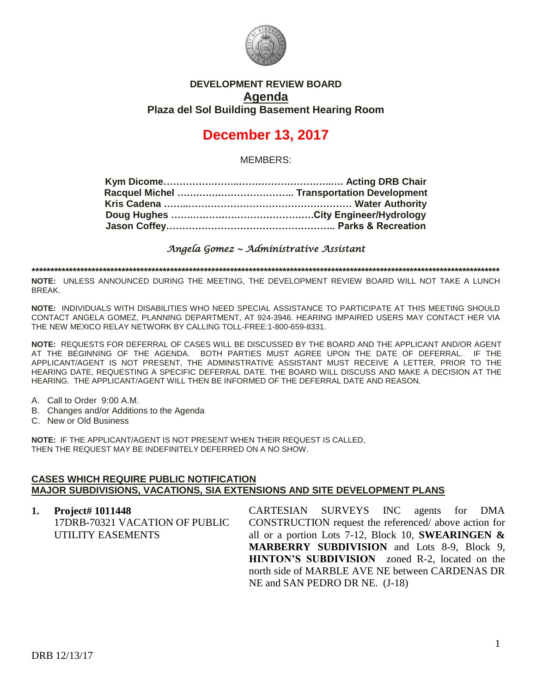

### **DEVELOPMENT REVIEW BOARD Agenda Plaza del Sol Building Basement Hearing Room**

# **December 13, 2017**

MEMBERS:

*Angela Gomez ~ Administrative Assistant* 

**\*\*\*\*\*\*\*\*\*\*\*\*\*\*\*\*\*\*\*\*\*\*\*\*\*\*\*\*\*\*\*\*\*\*\*\*\*\*\*\*\*\*\*\*\*\*\*\*\*\*\*\*\*\*\*\*\*\*\*\*\*\*\*\*\*\*\*\*\*\*\*\*\*\*\*\*\*\*\*\*\*\*\*\*\*\*\*\*\*\*\*\*\*\*\*\*\*\*\*\*\*\*\*\*\*\*\*\*\*\*\*\*\*\*\*\*\*\*\*\*\*\*\*\*\***

**NOTE:** UNLESS ANNOUNCED DURING THE MEETING, THE DEVELOPMENT REVIEW BOARD WILL NOT TAKE A LUNCH BREAK.

**NOTE:** INDIVIDUALS WITH DISABILITIES WHO NEED SPECIAL ASSISTANCE TO PARTICIPATE AT THIS MEETING SHOULD CONTACT ANGELA GOMEZ, PLANNING DEPARTMENT, AT 924-3946. HEARING IMPAIRED USERS MAY CONTACT HER VIA THE NEW MEXICO RELAY NETWORK BY CALLING TOLL-FREE:1-800-659-8331.

**NOTE:** REQUESTS FOR DEFERRAL OF CASES WILL BE DISCUSSED BY THE BOARD AND THE APPLICANT AND/OR AGENT AT THE BEGINNING OF THE AGENDA. BOTH PARTIES MUST AGREE UPON THE DATE OF DEFERRAL. IF THE APPLICANT/AGENT IS NOT PRESENT, THE ADMINISTRATIVE ASSISTANT MUST RECEIVE A LETTER, PRIOR TO THE HEARING DATE, REQUESTING A SPECIFIC DEFERRAL DATE. THE BOARD WILL DISCUSS AND MAKE A DECISION AT THE HEARING. THE APPLICANT/AGENT WILL THEN BE INFORMED OF THE DEFERRAL DATE AND REASON.

- A. Call to Order 9:00 A.M.
- B. Changes and/or Additions to the Agenda
- C. New or Old Business

**NOTE:** IF THE APPLICANT/AGENT IS NOT PRESENT WHEN THEIR REQUEST IS CALLED, THEN THE REQUEST MAY BE INDEFINITELY DEFERRED ON A NO SHOW.

#### **CASES WHICH REQUIRE PUBLIC NOTIFICATION MAJOR SUBDIVISIONS, VACATIONS, SIA EXTENSIONS AND SITE DEVELOPMENT PLANS**

| UTILITY EASEMENTS |                     |  |                                |                                                                                                                                                                                                                                                                                                                                                        |
|-------------------|---------------------|--|--------------------------------|--------------------------------------------------------------------------------------------------------------------------------------------------------------------------------------------------------------------------------------------------------------------------------------------------------------------------------------------------------|
|                   |                     |  |                                |                                                                                                                                                                                                                                                                                                                                                        |
|                   |                     |  |                                |                                                                                                                                                                                                                                                                                                                                                        |
|                   |                     |  |                                |                                                                                                                                                                                                                                                                                                                                                        |
|                   |                     |  |                                |                                                                                                                                                                                                                                                                                                                                                        |
|                   | 1. Project# 1011448 |  | NE and SAN PEDRO DR NE. (J-18) | CARTESIAN SURVEYS INC agents for DMA<br>17DRB-70321 VACATION OF PUBLIC CONSTRUCTION request the referenced/above action for<br>all or a portion Lots 7-12, Block 10, SWEARINGEN $\&$<br><b>MARBERRY SUBDIVISION</b> and Lots 8-9, Block 9,<br><b>HINTON'S SUBDIVISION</b> zoned R-2, located on the<br>north side of MARBLE AVE NE between CARDENAS DR |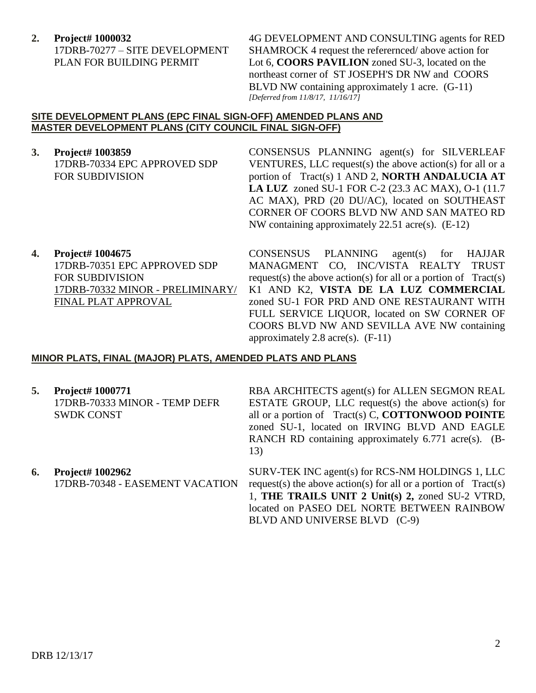**2. Project# 1000032**

17DRB-70277 – SITE DEVELOPMENT PLAN FOR BUILDING PERMIT

4G DEVELOPMENT AND CONSULTING agents for RED SHAMROCK 4 request the referernced/ above action for Lot 6, **COORS PAVILION** zoned SU-3, located on the northeast corner of ST JOSEPH'S DR NW and COORS BLVD NW containing approximately 1 acre. (G-11) *[Deferred from 11/8/17, 11/16/17]*

#### **SITE DEVELOPMENT PLANS (EPC FINAL SIGN-OFF) AMENDED PLANS AND MASTER DEVELOPMENT PLANS (CITY COUNCIL FINAL SIGN-OFF)**

- **3. Project# 1003859** 17DRB-70334 EPC APPROVED SDP FOR SUBDIVISION CONSENSUS PLANNING agent(s) for SILVERLEAF VENTURES, LLC request(s) the above action(s) for all or a portion of Tract(s) 1 AND 2, **NORTH ANDALUCIA AT LA LUZ** zoned SU-1 FOR C-2 (23.3 AC MAX), O-1 (11.7 AC MAX), PRD (20 DU/AC), located on SOUTHEAST CORNER OF COORS BLVD NW AND SAN MATEO RD
- **4. Project# 1004675** 17DRB-70351 EPC APPROVED SDP FOR SUBDIVISION 17DRB-70332 MINOR - PRELIMINARY/ FINAL PLAT APPROVAL

CONSENSUS PLANNING agent(s) for HAJJAR MANAGMENT CO, INC/VISTA REALTY TRUST request(s) the above action(s) for all or a portion of  $Tract(s)$ K1 AND K2, **VISTA DE LA LUZ COMMERCIAL** zoned SU-1 FOR PRD AND ONE RESTAURANT WITH FULL SERVICE LIQUOR, located on SW CORNER OF COORS BLVD NW AND SEVILLA AVE NW containing approximately 2.8 acre(s).  $(F-11)$ 

NW containing approximately 22.51 acre(s). (E-12)

#### **MINOR PLATS, FINAL (MAJOR) PLATS, AMENDED PLATS AND PLANS**

**5. Project# 1000771** 17DRB-70333 MINOR - TEMP DEFR SWDK CONST

RBA ARCHITECTS agent(s) for ALLEN SEGMON REAL ESTATE GROUP, LLC request(s) the above action(s) for all or a portion of Tract(s) C, **COTTONWOOD POINTE** zoned SU-1, located on IRVING BLVD AND EAGLE RANCH RD containing approximately 6.771 acre(s). (B-13)

**6. Project# 1002962** 17DRB-70348 - EASEMENT VACATION SURV-TEK INC agent(s) for RCS-NM HOLDINGS 1, LLC request(s) the above action(s) for all or a portion of  $Tract(s)$ 1, **THE TRAILS UNIT 2 Unit(s) 2,** zoned SU-2 VTRD, located on PASEO DEL NORTE BETWEEN RAINBOW BLVD AND UNIVERSE BLVD (C-9)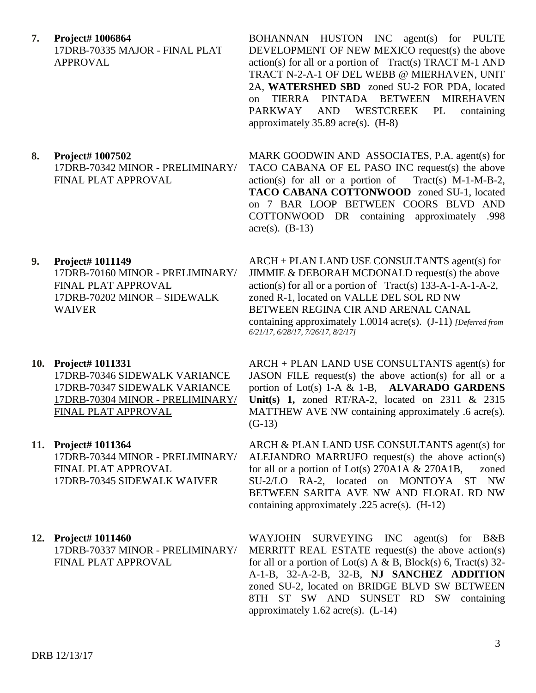**7. Project# 1006864** 17DRB-70335 MAJOR - FINAL PLAT APPROVAL

#### **8. Project# 1007502** 17DRB-70342 MINOR - PRELIMINARY/ FINAL PLAT APPROVAL

#### **9. Project# 1011149**

17DRB-70160 MINOR - PRELIMINARY/ FINAL PLAT APPROVAL 17DRB-70202 MINOR – SIDEWALK WAIVER

#### **10. Project# 1011331**

17DRB-70346 SIDEWALK VARIANCE 17DRB-70347 SIDEWALK VARIANCE 17DRB-70304 MINOR - PRELIMINARY/ FINAL PLAT APPROVAL

## **11. Project# 1011364** 17DRB-70344 MINOR - PRELIMINARY/

FINAL PLAT APPROVAL 17DRB-70345 SIDEWALK WAIVER

#### **12. Project# 1011460**

17DRB-70337 MINOR - PRELIMINARY/ FINAL PLAT APPROVAL

BOHANNAN HUSTON INC agent(s) for PULTE DEVELOPMENT OF NEW MEXICO request(s) the above  $action(s)$  for all or a portion of Tract(s) TRACT M-1 AND TRACT N-2-A-1 OF DEL WEBB @ MIERHAVEN, UNIT 2A, **WATERSHED SBD** zoned SU-2 FOR PDA, located on TIERRA PINTADA BETWEEN MIREHAVEN PARKWAY AND WESTCREEK PL containing approximately  $35.89$  acre(s).  $(H-8)$ 

MARK GOODWIN AND ASSOCIATES, P.A. agent(s) for TACO CABANA OF EL PASO INC request(s) the above  $action(s)$  for all or a portion of Tract(s) M-1-M-B-2, **TACO CABANA COTTONWOOD** zoned SU-1, located on 7 BAR LOOP BETWEEN COORS BLVD AND COTTONWOOD DR containing approximately .998  $\text{acre}(s)$ . (B-13)

ARCH + PLAN LAND USE CONSULTANTS agent(s) for JIMMIE & DEBORAH MCDONALD request(s) the above  $action(s)$  for all or a portion of Tract(s) 133-A-1-A-1-A-2, zoned R-1, located on VALLE DEL SOL RD NW BETWEEN REGINA CIR AND ARENAL CANAL containing approximately 1.0014 acre(s). (J-11) *[Deferred from 6/21/17, 6/28/17, 7/26/17, 8/2/17]*

ARCH + PLAN LAND USE CONSULTANTS agent(s) for JASON FILE request(s) the above action(s) for all or a portion of Lot(s) 1-A & 1-B, **ALVARADO GARDENS Unit(s) 1,** zoned RT/RA-2, located on 2311 & 2315 MATTHEW AVE NW containing approximately .6 acre(s).  $(G-13)$ 

ARCH & PLAN LAND USE CONSULTANTS agent(s) for ALEJANDRO MARRUFO request(s) the above action(s) for all or a portion of Lot(s) 270A1A & 270A1B, zoned SU-2/LO RA-2, located on MONTOYA ST NW BETWEEN SARITA AVE NW AND FLORAL RD NW containing approximately .225 acre(s). (H-12)

WAYJOHN SURVEYING INC agent(s) for B&B MERRITT REAL ESTATE request(s) the above action(s) for all or a portion of Lot(s) A & B, Block(s) 6, Tract(s) 32-A-1-B, 32-A-2-B, 32-B, **NJ SANCHEZ ADDITION** zoned SU-2, located on BRIDGE BLVD SW BETWEEN 8TH ST SW AND SUNSET RD SW containing approximately  $1.62$  acre(s).  $(L-14)$